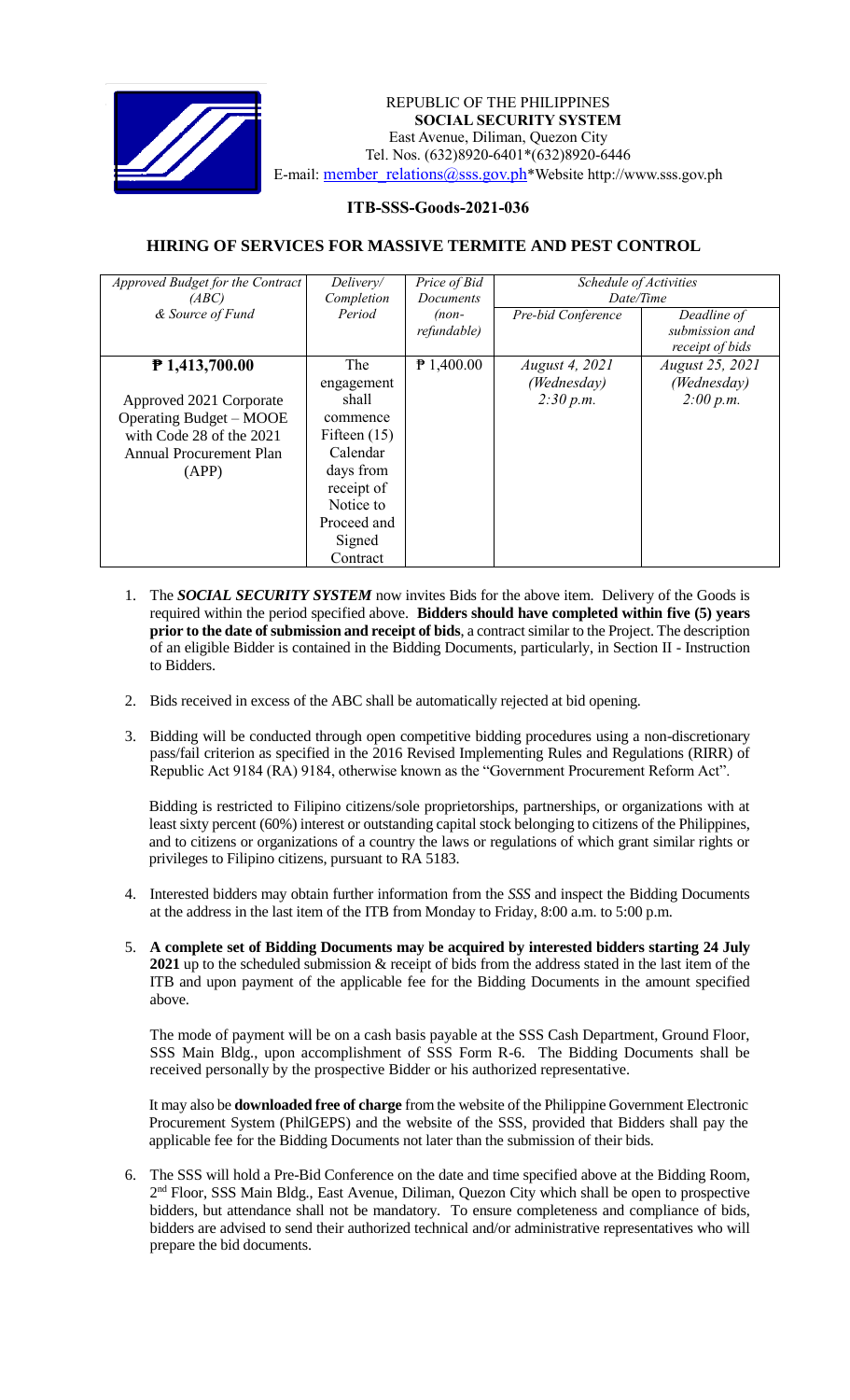

 *Invitation to Bid* REPUBLIC OF THE PHILIPPINES **SOCIAL SECURITY SYSTEM** East Avenue, Diliman, Quezon City Tel. Nos. (632)8920-6401\*(632)8920-6446 E-mail: member\_relations@sss.gov.ph\*Website http://www.sss.gov.ph

## **ITB-SSS-Goods-2021-036**

## **HIRING OF SERVICES FOR MASSIVE TERMITE AND PEST CONTROL**

| Approved Budget for the Contract | Delivery/      | Price of Bid     | Schedule of Activities |                 |
|----------------------------------|----------------|------------------|------------------------|-----------------|
| (ABC)                            | Completion     | <b>Documents</b> | Date/Time              |                 |
| & Source of Fund                 | Period         | $(non-$          | Pre-bid Conference     | Deadline of     |
|                                  |                | refundable)      |                        | submission and  |
|                                  |                |                  |                        | receipt of bids |
| ₱ 1,413,700.00                   | <b>The</b>     | $P$ 1,400.00     | <i>August 4, 2021</i>  | August 25, 2021 |
|                                  | engagement     |                  | (Wednesday)            | (Wednesday)     |
| Approved 2021 Corporate          | shall          |                  | 2:30 p.m.              | 2:00 p.m.       |
| Operating Budget – MOOE          | commence       |                  |                        |                 |
| with Code 28 of the 2021         | Fifteen $(15)$ |                  |                        |                 |
| Annual Procurement Plan          | Calendar       |                  |                        |                 |
| (APP)                            | days from      |                  |                        |                 |
|                                  | receipt of     |                  |                        |                 |
|                                  | Notice to      |                  |                        |                 |
|                                  | Proceed and    |                  |                        |                 |
|                                  | Signed         |                  |                        |                 |
|                                  | Contract       |                  |                        |                 |

- 1. The *SOCIAL SECURITY SYSTEM* now invites Bids for the above item. Delivery of the Goods is required within the period specified above. **Bidders should have completed within five (5) years prior to the date of submission and receipt of bids**, a contract similar to the Project. The description of an eligible Bidder is contained in the Bidding Documents, particularly, in Section II - Instruction to Bidders.
- 2. Bids received in excess of the ABC shall be automatically rejected at bid opening.
- 3. Bidding will be conducted through open competitive bidding procedures using a non-discretionary pass/fail criterion as specified in the 2016 Revised Implementing Rules and Regulations (RIRR) of Republic Act 9184 (RA) 9184, otherwise known as the "Government Procurement Reform Act".

Bidding is restricted to Filipino citizens/sole proprietorships, partnerships, or organizations with at least sixty percent (60%) interest or outstanding capital stock belonging to citizens of the Philippines, and to citizens or organizations of a country the laws or regulations of which grant similar rights or privileges to Filipino citizens, pursuant to RA 5183.

- 4. Interested bidders may obtain further information from the *SSS* and inspect the Bidding Documents at the address in the last item of the ITB from Monday to Friday, 8:00 a.m. to 5:00 p.m.
- 5. **A complete set of Bidding Documents may be acquired by interested bidders starting 24 July 2021** up to the scheduled submission & receipt of bids from the address stated in the last item of the ITB and upon payment of the applicable fee for the Bidding Documents in the amount specified above.

The mode of payment will be on a cash basis payable at the SSS Cash Department, Ground Floor, SSS Main Bldg., upon accomplishment of SSS Form R-6. The Bidding Documents shall be received personally by the prospective Bidder or his authorized representative.

It may also be **downloaded free of charge** from the website of the Philippine Government Electronic Procurement System (PhilGEPS) and the website of the SSS*,* provided that Bidders shall pay the applicable fee for the Bidding Documents not later than the submission of their bids.

6. The SSS will hold a Pre-Bid Conference on the date and time specified above at the Bidding Room, 2<sup>nd</sup> Floor, SSS Main Bldg., East Avenue, Diliman, Quezon City which shall be open to prospective bidders, but attendance shall not be mandatory. To ensure completeness and compliance of bids, bidders are advised to send their authorized technical and/or administrative representatives who will prepare the bid documents.